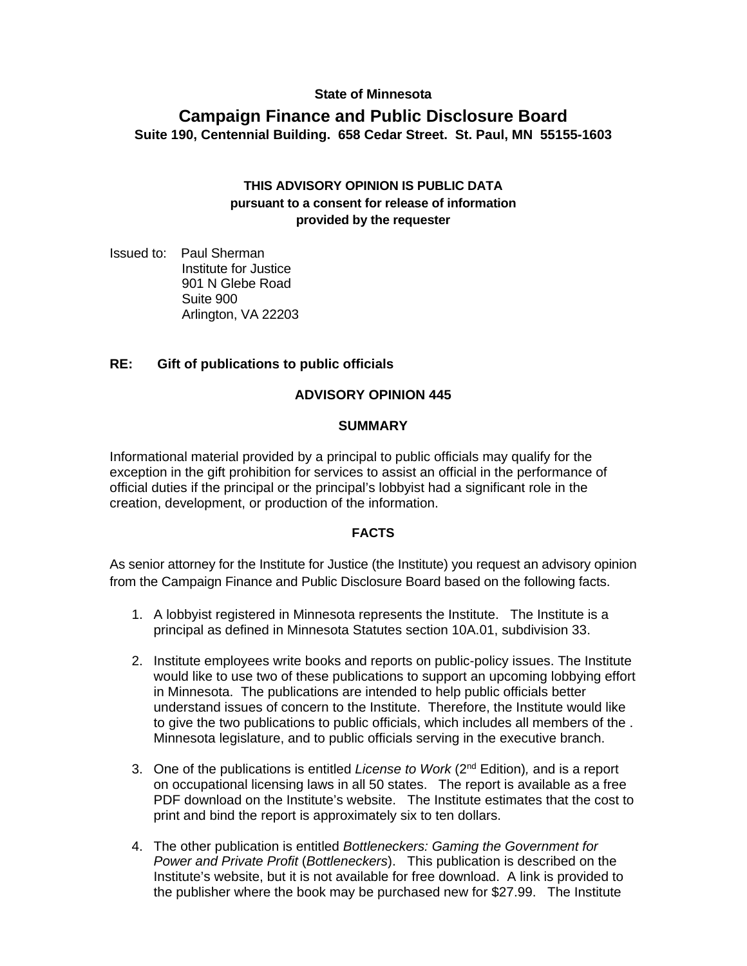### **State of Minnesota**

# **Campaign Finance and Public Disclosure Board Suite 190, Centennial Building. 658 Cedar Street. St. Paul, MN 55155-1603**

# **THIS ADVISORY OPINION IS PUBLIC DATA pursuant to a consent for release of information provided by the requester**

Issued to: Paul Sherman Institute for Justice 901 N Glebe Road Suite 900 Arlington, VA 22203

# **RE: Gift of publications to public officials**

#### **ADVISORY OPINION 445**

#### **SUMMARY**

Informational material provided by a principal to public officials may qualify for the exception in the gift prohibition for services to assist an official in the performance of official duties if the principal or the principal's lobbyist had a significant role in the creation, development, or production of the information.

#### **FACTS**

As senior attorney for the Institute for Justice (the Institute) you request an advisory opinion from the Campaign Finance and Public Disclosure Board based on the following facts.

- 1. A lobbyist registered in Minnesota represents the Institute. The Institute is a principal as defined in Minnesota Statutes section 10A.01, subdivision 33.
- 2. Institute employees write books and reports on public-policy issues. The Institute would like to use two of these publications to support an upcoming lobbying effort in Minnesota. The publications are intended to help public officials better understand issues of concern to the Institute. Therefore, the Institute would like to give the two publications to public officials, which includes all members of the . Minnesota legislature, and to public officials serving in the executive branch.
- 3. One of the publications is entitled *License to Work* (2nd Edition)*,* and is a report on occupational licensing laws in all 50 states. The report is available as a free PDF download on the Institute's website. The Institute estimates that the cost to print and bind the report is approximately six to ten dollars.
- 4. The other publication is entitled *Bottleneckers: Gaming the Government for Power and Private Profit* (*Bottleneckers*). This publication is described on the Institute's website, but it is not available for free download. A link is provided to the publisher where the book may be purchased new for \$27.99. The Institute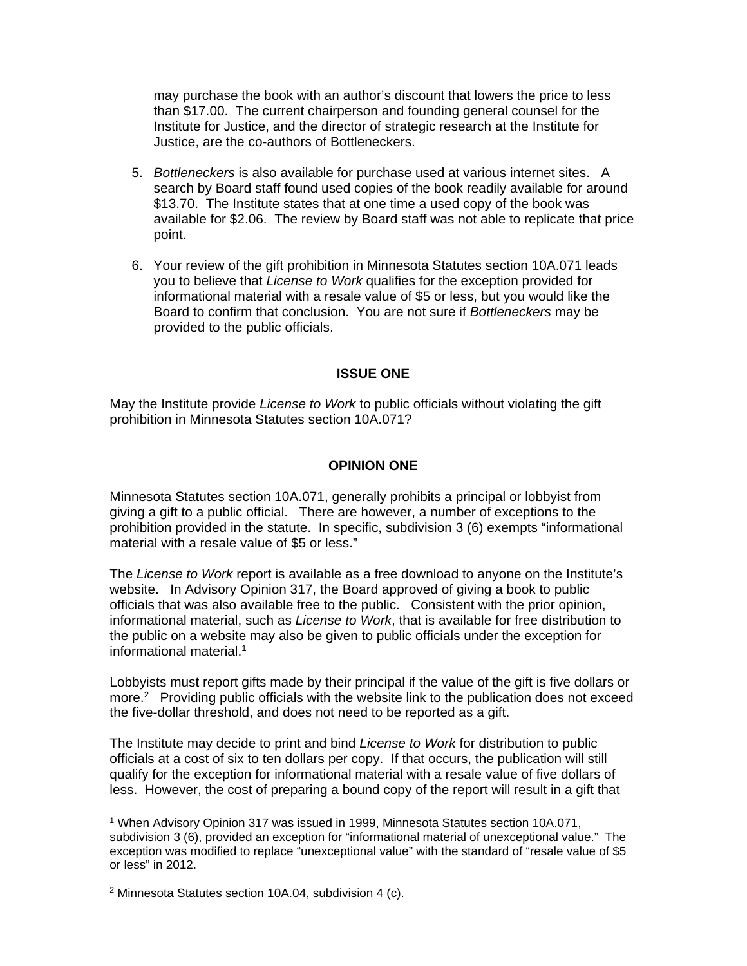may purchase the book with an author's discount that lowers the price to less than \$17.00. The current chairperson and founding general counsel for the Institute for Justice, and the director of strategic research at the Institute for Justice, are the co-authors of Bottleneckers.

- 5. *Bottleneckers* is also available for purchase used at various internet sites. A search by Board staff found used copies of the book readily available for around \$13.70. The Institute states that at one time a used copy of the book was available for \$2.06. The review by Board staff was not able to replicate that price point.
- 6. Your review of the gift prohibition in Minnesota Statutes section 10A.071 leads you to believe that *License to Work* qualifies for the exception provided for informational material with a resale value of \$5 or less, but you would like the Board to confirm that conclusion. You are not sure if *Bottleneckers* may be provided to the public officials.

### **ISSUE ONE**

May the Institute provide *License to Work* to public officials without violating the gift prohibition in Minnesota Statutes section 10A.071?

# **OPINION ONE**

Minnesota Statutes section 10A.071, generally prohibits a principal or lobbyist from giving a gift to a public official. There are however, a number of exceptions to the prohibition provided in the statute. In specific, subdivision 3 (6) exempts "informational material with a resale value of \$5 or less."

The *License to Work* report is available as a free download to anyone on the Institute's website. In Advisory Opinion 317, the Board approved of giving a book to public officials that was also available free to the public. Consistent with the prior opinion, informational material, such as *License to Work*, that is available for free distribution to the public on a website may also be given to public officials under the exception for informational material.1

Lobbyists must report gifts made by their principal if the value of the gift is five dollars or more.<sup>2</sup> Providing public officials with the website link to the publication does not exceed the five-dollar threshold, and does not need to be reported as a gift.

The Institute may decide to print and bind *License to Work* for distribution to public officials at a cost of six to ten dollars per copy. If that occurs, the publication will still qualify for the exception for informational material with a resale value of five dollars of less. However, the cost of preparing a bound copy of the report will result in a gift that

<sup>-</sup>1 When Advisory Opinion 317 was issued in 1999, Minnesota Statutes section 10A.071, subdivision 3 (6), provided an exception for "informational material of unexceptional value." The exception was modified to replace "unexceptional value" with the standard of "resale value of \$5 or less" in 2012.

<sup>2</sup> Minnesota Statutes section 10A.04, subdivision 4 (c).